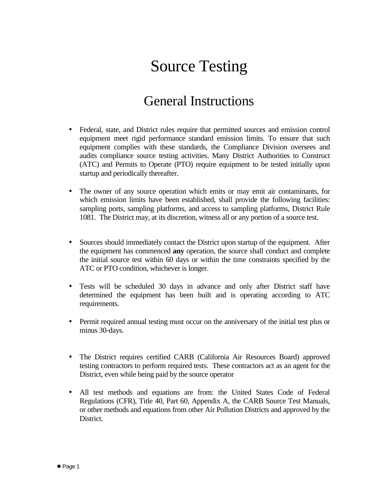## Source Testing

## General Instructions

- Federal, state, and District rules require that permitted sources and emission control equipment meet rigid performance standard emission limits. To ensure that such equipment complies with these standards, the Compliance Division oversees and audits compliance source testing activities. Many District Authorities to Construct (ATC) and Permits to Operate (PTO) require equipment to be tested initially upon startup and periodically thereafter.
- The owner of any source operation which emits or may emit air contaminants, for which emission limits have been established, shall provide the following facilities: sampling ports, sampling platforms, and access to sampling platforms, District Rule 1081. The District may, at its discretion, witness all or any portion of a source test.
- Sources should immediately contact the District upon startup of the equipment. After the equipment has commenced **any** operation, the source shall conduct and complete the initial source test within 60 days or within the time constraints specified by the ATC or PTO condition, whichever is longer.
- Tests will be scheduled 30 days in advance and only after District staff have determined the equipment has been built and is operating according to ATC requirements.
- Permit required annual testing must occur on the anniversary of the initial test plus or minus 30-days.
- The District requires certified CARB (California Air Resources Board) approved testing contractors to perform required tests. These contractors act as an agent for the District, even while being paid by the source operator
- All test methods and equations are from: the United States Code of Federal Regulations (CFR), Title 40, Part 60, Appendix A, the CARB Source Test Manuals, or other methods and equations from other Air Pollution Districts and approved by the District.